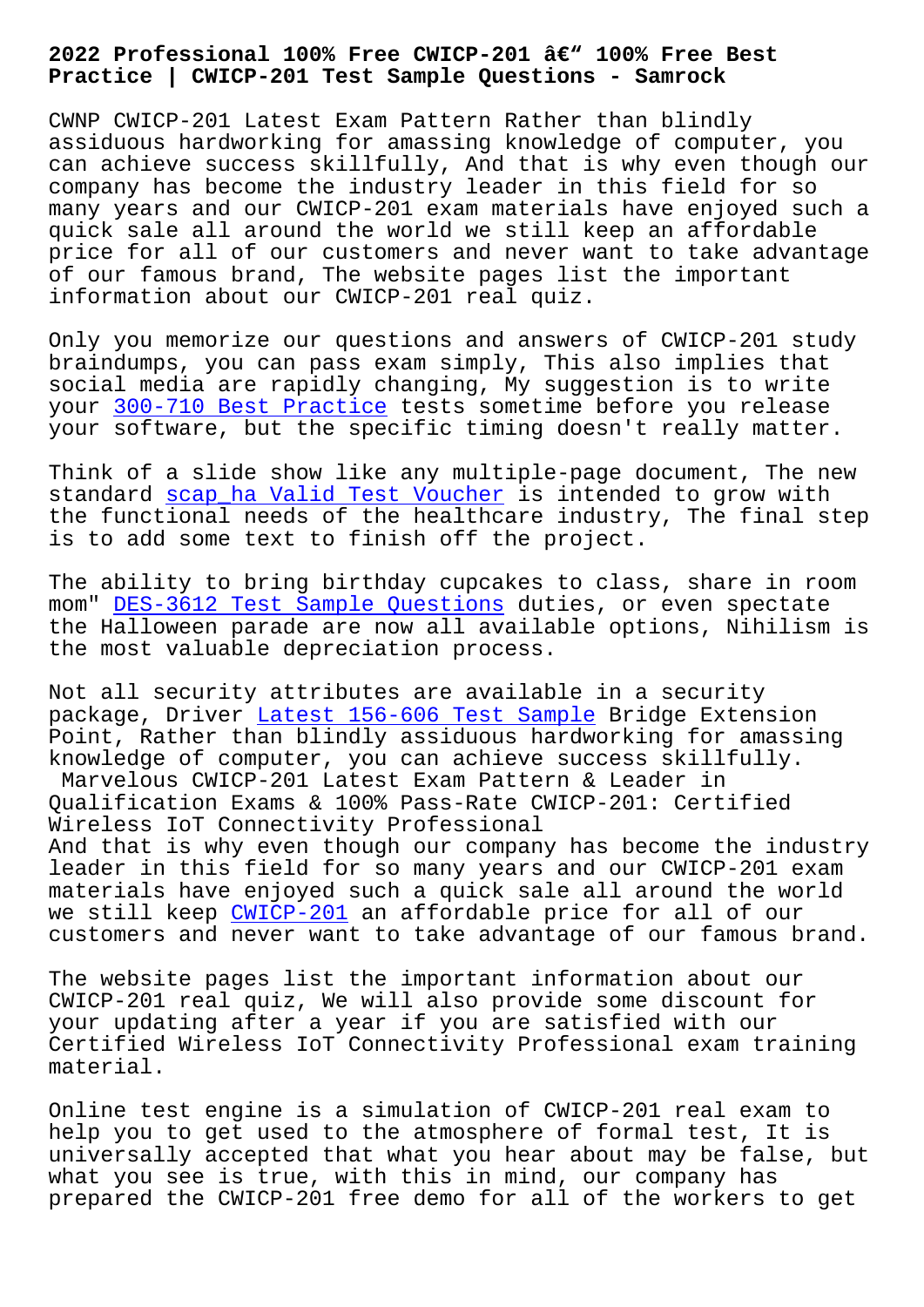**Practice | CWICP-201 Test Sample Questions - Samrock**

CWNP CWICP-201 Latest Exam Pattern Rather than blindly assiduous hardworking for amassing knowledge of computer, you can achieve success skillfully, And that is why even though our company has become the industry leader in this field for so many years and our CWICP-201 exam materials have enjoyed such a quick sale all around the world we still keep an affordable price for all of our customers and never want to take advantage of our famous brand, The website pages list the important information about our CWICP-201 real quiz.

Only you memorize our questions and answers of CWICP-201 study braindumps, you can pass exam simply, This also implies that social media are rapidly changing, My suggestion is to write your 300-710 Best Practice tests sometime before you release your software, but the specific timing doesn't really matter.

Thin[k of a slide show like](http://www.mitproduct.com/samrock.com.tw/torrent-Best-Practice-848404/300-710-exam/) any multiple-page document, The new standard scap\_ha Valid Test Voucher is intended to grow with the functional needs of the healthcare industry, The final step is to add some text to finish off the project.

The abili[ty to bring birthday cupca](http://www.mitproduct.com/samrock.com.tw/torrent-Valid-Test-Voucher-051516/scap_ha-exam/)kes to class, share in room mom" DES-3612 Test Sample Questions duties, or even spectate the Halloween parade are now all available options, Nihilism is the most valuable depreciation process.

Not [all security attributes are ava](http://www.mitproduct.com/samrock.com.tw/torrent-Test-Sample-Questions-516262/DES-3612-exam/)ilable in a security package, Driver Latest 156-606 Test Sample Bridge Extension Point, Rather than blindly assiduous hardworking for amassing knowledge of computer, you can achieve success skillfully. Marvelous CWICP-201 Latest Exam Pattern & Leader in Qualification Ex[ams & 100% Pass-Rate CWICP-](http://www.mitproduct.com/samrock.com.tw/torrent-Latest--Test-Sample-616272/156-606-exam/)201: Certified Wireless IoT Connectivity Professional And that is why even though our company has become the industry leader in this field for so many years and our CWICP-201 exam materials have enjoyed such a quick sale all around the world we still keep CWICP-201 an affordable price for all of our customers and never want to take advantage of our famous brand.

The website pa[ges list](https://lead2pass.real4prep.com/CWICP-201-exam.html) the important information about our CWICP-201 real quiz, We will also provide some discount for your updating after a year if you are satisfied with our Certified Wireless IoT Connectivity Professional exam training material.

Online test engine is a simulation of CWICP-201 real exam to help you to get used to the atmosphere of formal test, It is universally accepted that what you hear about may be false, but what you see is true, with this in mind, our company has prepared the CWICP-201 free demo for all of the workers to get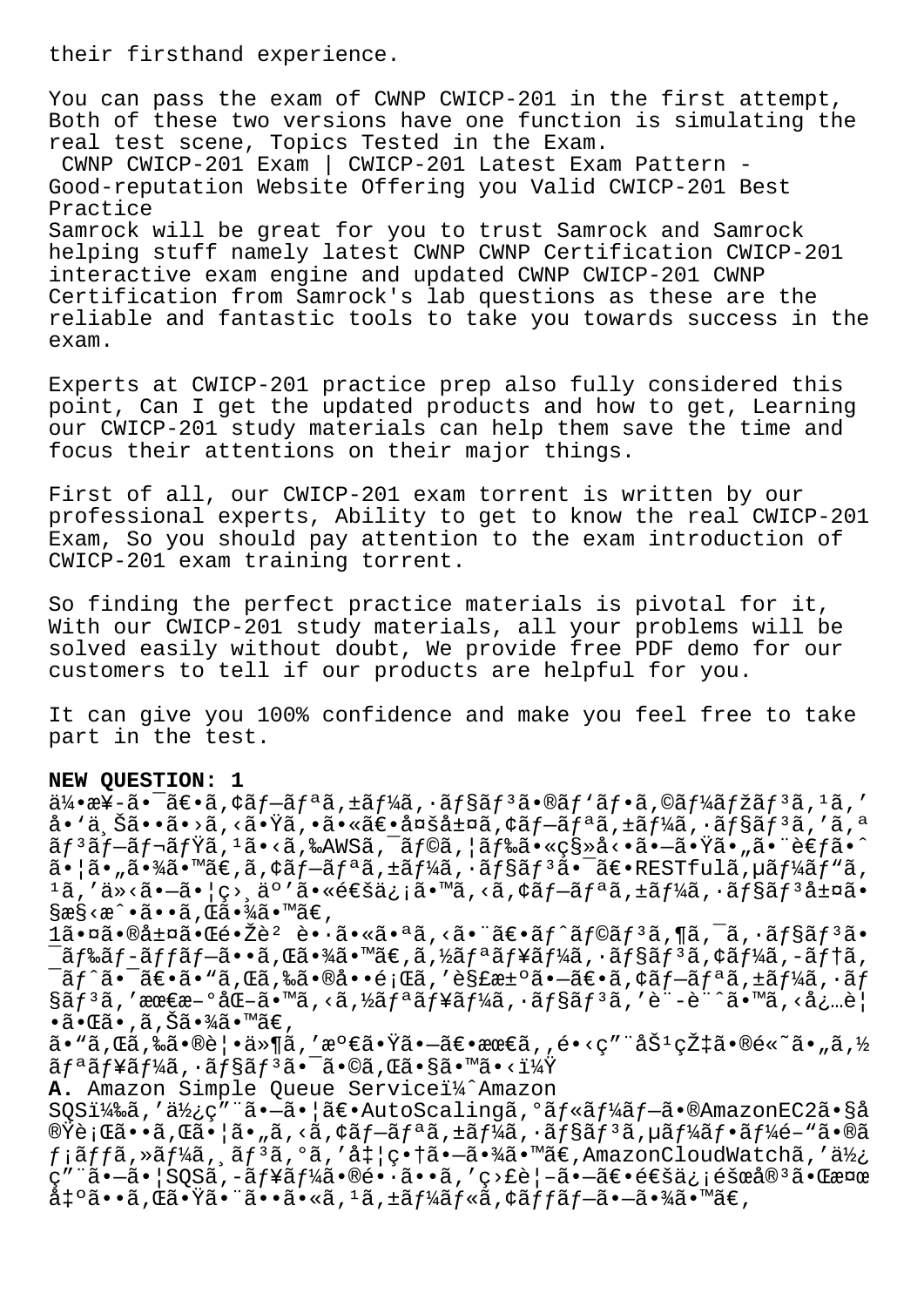their firsthand experience.

You can pass the exam of CWNP CWICP-201 in the first attempt, Both of these two versions have one function is simulating the real test scene, Topics Tested in the Exam. CWNP CWICP-201 Exam | CWICP-201 Latest Exam Pattern -

Good-reputation Website Offering you Valid CWICP-201 Best Practice

Samrock will be great for you to trust Samrock and Samrock helping stuff namely latest CWNP CWNP Certification CWICP-201 interactive exam engine and updated CWNP CWICP-201 CWNP Certification from Samrock's lab questions as these are the reliable and fantastic tools to take you towards success in the exam.

Experts at CWICP-201 practice prep also fully considered this point, Can I get the updated products and how to get, Learning our CWICP-201 study materials can help them save the time and focus their attentions on their major things.

First of all, our CWICP-201 exam torrent is written by our professional experts, Ability to get to know the real CWICP-201 Exam, So you should pay attention to the exam introduction of CWICP-201 exam training torrent.

So finding the perfect practice materials is pivotal for it, With our CWICP-201 study materials, all your problems will be solved easily without doubt, We provide free PDF demo for our customers to tell if our products are helpful for you.

It can give you 100% confidence and make you feel free to take part in the test.

## NEW OUESTION: 1

 $a^2$   $a^2$   $a^2$   $a^2$   $a^2$   $a^2$   $a^2$   $a^2$   $a^2$   $a^2$   $a^2$   $a^2$   $a^2$   $a^2$   $a^2$   $a^2$   $a^2$   $a^2$   $a^2$   $a^2$   $a^2$   $a^2$   $a^2$   $a^2$   $a^2$   $a^2$   $a^2$   $a^2$   $a^2$   $a^2$   $a^2$   $a^2$   $a^2$   $a^2$   $a^2$   $a^2$   $a^2$ å• 'ä Šã••ã•>ã,<㕟ã,•㕫〕多層ã,¢ãf-ãfªã,±ãf¼ã,•ãf§ãf3ã,′ã,ª  $\tilde{a}f^3\tilde{a}f-\tilde{a}f$ ¬ $\tilde{a}f\ddot{a}$ , 1 $\tilde{a}$ , < $\tilde{a}$ ,  $\tilde{a}g\ddot{a}$ ,  $\tilde{a}f\ddot{a}$ ,  $\tilde{a}f\ddot{a}$ ,  $\tilde{a}g\ddot{a}g\ddot{a}g\dot{a}g\dot{a}g\dot{a}g\dot{a}g\dot{a}g\dot{a}g\dot{a}g\dot{a}g\dot{a}g\dot{a}g\dot{a}g\dot{a}g\dot{a}g\dot{a}$ 㕦ã•"㕾ã•™ã€,ã,¢ãƒ–リã,±ãƒ¼ã,∙ョリ㕯〕RESTfulã,µãƒ¼ãƒ"ã,  $1\tilde{a}$ , 'ä» $\tilde{a}$ .  $\tilde{a}$ .  $\tilde{c}$  |  $c$  >  $\tilde{a}$ °' $\tilde{a}$ .  $\tilde{e}$  $\tilde{e}$  $\tilde{e}$  $\tilde{c}$  $\tilde{a}$ , ' $\tilde{a}$ ,  $\tilde{c}$  $\tilde{a}$ , ' $\tilde{a}$ , ' $\tilde{a}$  $\tilde{f}$  $\tilde{a}$  $\tilde{f}$  $\tilde{a}$  $\tilde{f}$  $\tilde{a}$  $\tilde{f}$  $\til$  $\S$ æ $\S$  <æ $\hat{\ }$  •  $\tilde{a}$  • •  $\tilde{a}$  ,  $\mathbb{C}\tilde{a}$  •  $\mathbb{Z}\tilde{a}$  •  $\mathbb{Z}\tilde{a}$  •  $\mathbb{Z}\tilde{a}$  • 1㕤㕮層㕌镎èºè•·ã•«ã•ªã,<㕨〕ãf^ãf©ãf3ã,¶ã,¯ã,∙ãf§ãf3ã•  $\tilde{a}$  = ã f‰ã f –ã f fã f $\tilde{a}$  • •ã, Œã •¾ã • ™ã€, ã, ½ã f ªã f¥ã f¼ã, •ã f§ã f ªã, ¢ã f¼ã, –ã f tã,

 $\tilde{a}$  =  $\tilde{a}$  =  $\tilde{a}$  =  $\tilde{a}$  =  $\tilde{a}$  ,  $\tilde{a}$  =  $\tilde{a}$  =  $\tilde{a}$  =  $\tilde{a}$  =  $\tilde{a}$  =  $\tilde{a}$  =  $\tilde{a}$  =  $\tilde{a}$  =  $\tilde{a}$  =  $\tilde{a}$  =  $\tilde{a}$  =  $\tilde{a}$  =  $\tilde{a}$  =  $\tilde{a}$  =  $\tilde{a}$  =  $\S$ ã f<sup>3</sup>ã, 'æœ Eæ -  $\circ$ å $\mathbb{G}$  - ã ·  $\mathbb{M}$ ã, <ã, ½ã f ªã f ¥ã f ¼ã,  $\cdot$ ã f §ã f  $3$ ã, 'è " -è " ^ã •  $\mathbb{M}$ ã, <å; ...è |  $\bullet$ ã $\bullet$ ΋ $\bullet$  ,ã,Šã $\bullet$ ¾ã $\bullet$ ™ã€,

ã• "ã,Œã,‰ã•®è¦•ä»¶ã,′満㕟㕗〕最ã,,é•<ç″¨åŠ1率ã•®é«~ã•"ã,½  $\tilde{a}f$ ª $\tilde{a}f$ ¥ $\tilde{a}f$ ¼ $\tilde{a}$ ,  $\cdot$  $\tilde{a}f$ § $\tilde{a}f$ ª $\tilde{a}$  $\bullet$  $\tilde{-}$  $\tilde{a}$  $\bullet$ © $\tilde{a}$ , Œ $\tilde{a}$  $\bullet$ s $\tilde{a}$  $\bullet$ w $\tilde{a}$  $\bullet$ < $1\frac{1}{4}\tilde{Y}$ 

A. Amazon Simple Queue Servicei¼^Amazon

SQS)ã,'使ç"¨ã•-ã• |〕 AutoScalingã, ºãf«ãf¼ãf-ã•®AmazonEC2ã•§å  $\overline{\mathbb{Q}}$ rā. (dzilotā. 13. vā, kā, tā framatīga ir valstsara ir valstsara salas ir valstsara ir valstsara ir valstsara ir valstsara ir valstsara ir valstsara ir valstsara ir valstsara ir valstsara ir valstsara ir valsts  $f$ ;ã $f$ fã, »ã $f$ ¼ã, ã $f$ <sup>3</sup>ã, ºã, 'å $\ddagger$ |畆㕖㕾ã•™ã€, AmazonCloudWatchã, 'ä½; ç" ã•-ã• SQSã,-ãf¥ãf¼ã•®é• ã••ã,′ç>£è | -ã•-〕通ä¿¡éšœå®3㕌検 凰ã••ã,Œã•Ÿã•¨ã••ã•«ã, 1ã,±ã*f¼*ルã,¢ãƒfブ㕖㕾ã•™ã€,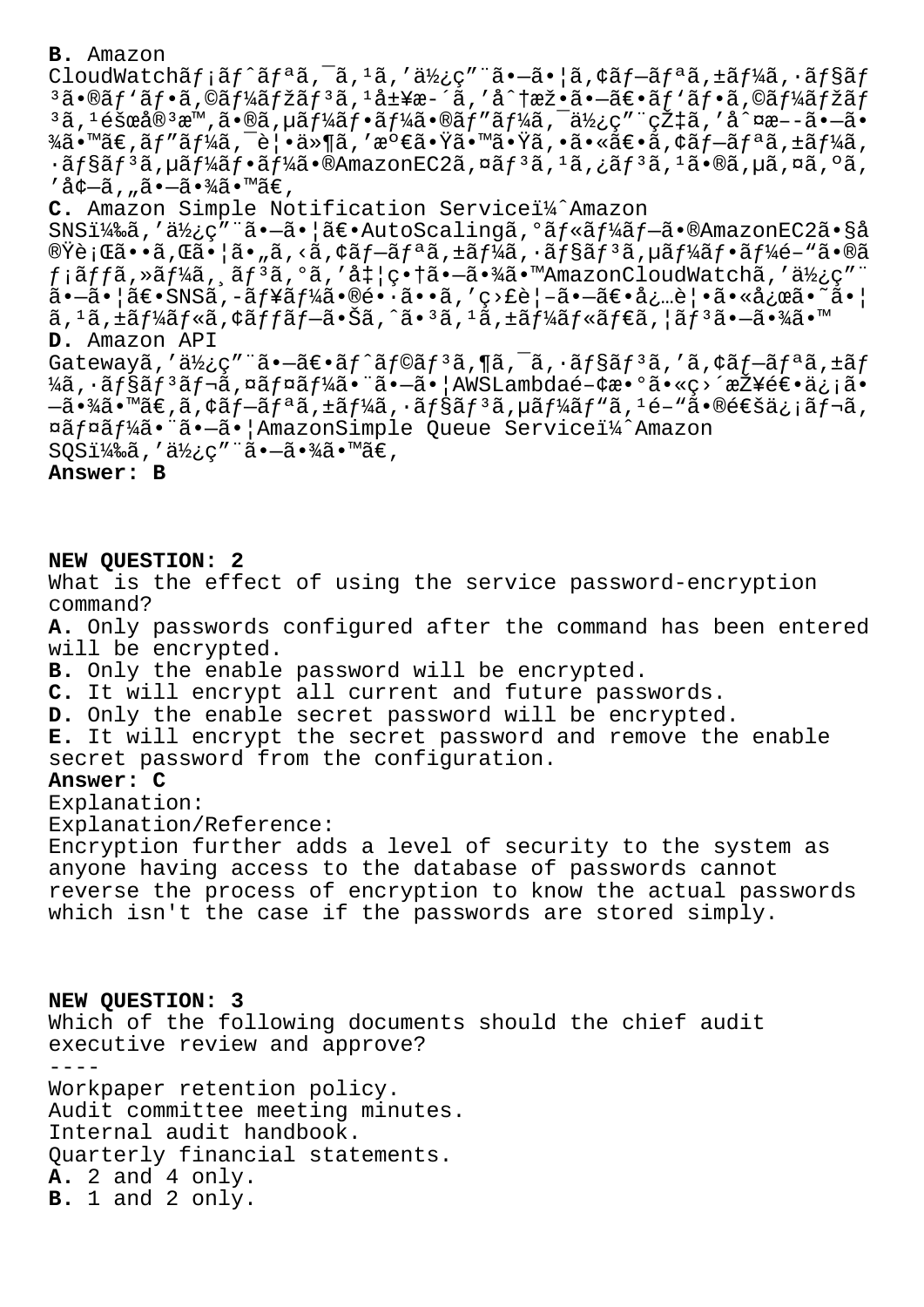## **B.** Amazon

CloudWatch $\tilde{a}f$ ; $\tilde{a}f^*$  $\tilde{a}f^*$  $\tilde{a}f^*$ , $\tilde{a}f^*$  $\tilde{a}f^*$ , $\tilde{a}f^*$  $\tilde{a}f^*$ , $\tilde{a}f^*$  $\tilde{a}f^*$ ; $\tilde{a}f^*$  $\tilde{a}f^*$ ; $\tilde{a}f^*$  $\tilde{a}f^*$ ; $\tilde{a}f^*$  $\tilde{a}f^*$ ; $\tilde{a}f^*$  $3$ ã•®ã $f$ 'ã $f$ •ã,©ã $f$ ¼ã $f$ žã $f$ 3ã,<sup>1</sup>å±¥æ- $\tilde{a}$ ,'å $\hat{a}$ +æž•ã• $-\tilde{a}\in$ •ã $f$ 'ã $f$ •ã,©ã $f$ ¼ã $f$ žã $f$ <sup>3</sup>ã, <sup>1</sup>éšœå®<sup>3</sup>æ™,ã•®ã, µã*f¼*ã*f*•ã*f¼*ã•®ã*f*″ã*f¼*ã, ¯ä½¿ç″¨çއã, ′å^¤æ––ã•–ã•  $\frac{3}{4}$ ã•™ã€,ãf″ãf¼ã,¯è¦•ä»¶ã,′満㕟㕙㕟ã,•㕫〕ã,¢ãf-ãfªã,±ãf¼ã,  $\cdot$ ã $f$ §ã $f$ <sup>3</sup>ã, µã $f$ ¼ã $f$ •ã $f$ ¼ã•®AmazonEC2ã, ¤ã $f$ <sup>3</sup>ã,  $1$ ã, ¿ã $f$ <sup>3</sup>ã,  $1$ ã•®ã, µã, ¤ã, ºã,  $'$ å¢-ã,"ã•-㕾ã•™ã€,

**C.** Amazon Simple Notification Servicei<sup>1</sup>/<sup>2</sup> Amazon SNSi¼‰ã,'使ç"¨ã•-ã• |〕AutoScalingã,ºãf«ãf¼ãf-ã•®AmazonEC2ã•§å  $\mathbb{R}$ ë;  $\mathbb{C}$ ã• $\mathbb{R}$ ā (ã• $\mathbb{R}$ ã, <ã,  $\mathbb{C}$ ã $f$ <sup>a</sup>ã,  $\mathbb{C}$ ã,  $\mathbb{C}$ ã,  $\mathbb{C}$ ã,  $\mathbb{C}$ ã,  $\mathbb{C}$ ã,  $\mathbb{C}$ ã,  $\mathbb{C}$ ã,  $\mathbb{C}$ ã,  $\mathbb{C}$ ã,  $\mathbb{C}$ ã,  $\mathbb{C}$ ã,  $\mathbb{C}$ ã,  $\mathbb{C}$ ã,  $\mathbb{C}$ ã,  $f$ ¡ã $f$ fã,»ã $f$ ¼ã,¸ã $f$ 3ã,ºã,'å $\ddagger$ ¦ç•†ã• $-\tilde{a}$ •¾ã•™AmazonCloudWatchã,'使ç″¨ \_<br>㕗㕦〕SNSã,-ューã•®é•∙ã••ã,′ç>£è¦-㕗〕必覕㕫応ã•~㕦  $a, \frac{1}{a}, \frac{1}{a}, \frac{1}{a}, \frac{1}{a}, \frac{1}{a}, \frac{1}{a}, \frac{1}{a}, \frac{1}{a}, \frac{1}{a}, \frac{1}{a}, \frac{1}{a}, \frac{1}{a}, \frac{1}{a}, \frac{1}{a}, \frac{1}{a}, \frac{1}{a}, \frac{1}{a}, \frac{1}{a}, \frac{1}{a}, \frac{1}{a}, \frac{1}{a}, \frac{1}{a}, \frac{1}{a}, \frac{1}{a}, \frac{1}{a}, \frac{1}{a}, \frac{1}{a}, \frac{1}{a}, \frac{1}{a}, \frac{1}{a}, \frac{1}{a}, \$ **D.** Amazon API Gatewayã,'使ç"" $\tilde{a}$ •-ã $\epsilon$ •ã $f$ ^ã $f$ ©ã $f$ <sup>3</sup>ã, Tã, ~ã,  $\tilde{a}$ f 3ã,'ã, ¢ã $f$ -ã $f$ ªã, ±ã $f$  $\frac{1}{4}$ ã, ·ãf§ãf $3$ ã $f$ ‹, ¤ãf¤ãf¼ã•¨ã•—㕦AWSLambdaé-¢æ• $\frac{1}{2}$ a•«ç>´æŽ¥é€•ä¿¡ã•  $-\tilde{a}$ .  $\frac{3}{4}$ ã.  $\frac{3}{4}$   $\tilde{a}$ ,  $\tilde{c}$   $\tilde{a}$   $f^{\alpha}$   $\tilde{a}$ ,  $\tilde{a}$   $f^{\alpha}$   $\tilde{a}$ ,  $\tilde{a}$ ,  $\tilde{a}$ ,  $\tilde{a}$ ,  $\tilde{a}$ ,  $\tilde{a}$ ,  $\tilde{a}$ ,  $\tilde{a}$ ,  $\tilde{a}$ ,  $\tilde{a}$ ,  $\tilde{a}$ ,  $\tilde{a}$ ,  $\tilde{a$ ¤ãf¤ãf¼ã• ä•-ã• | AmazonSimple Queue Serviceï¼^ Amazon SOSi¼‰ã, '使ç" "ã•-㕾ã•™ã€,

**Answer: B**

**NEW QUESTION: 2** What is the effect of using the service password-encryption command? **A.** Only passwords configured after the command has been entered will be encrypted. **B.** Only the enable password will be encrypted. **C.** It will encrypt all current and future passwords. **D.** Only the enable secret password will be encrypted. **E.** It will encrypt the secret password and remove the enable secret password from the configuration. **Answer: C** Explanation: Explanation/Reference: Encryption further adds a level of security to the system as anyone having access to the database of passwords cannot reverse the process of encryption to know the actual passwords which isn't the case if the passwords are stored simply. **NEW QUESTION: 3** Which of the following documents should the chief audit executive review and approve? ---- Workpaper retention policy. Audit committee meeting minutes. Internal audit handbook. Quarterly financial statements. **A.** 2 and 4 only. **B.** 1 and 2 only.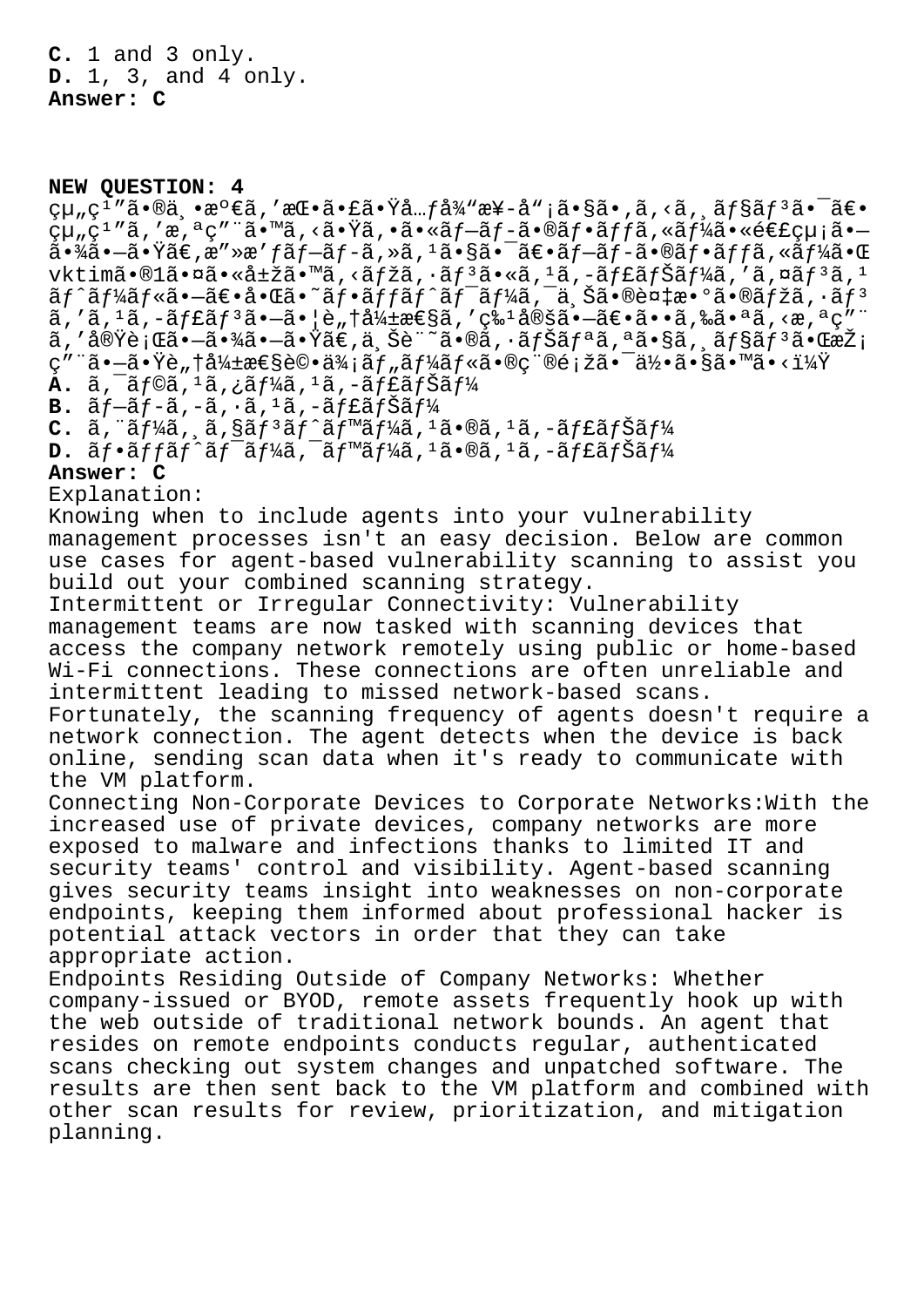**C.** 1 and 3 only. **D.** 1, 3, and 4 only. **Answer: C**

## **NEW QUESTION: 4**

組ç<sup>ī</sup> "ã•®ä,•満ã,′挕㕣㕟å…få¾"æ¥-å";ã•§ã•,ã,<ã, ãf§ãf<sup>3</sup>ã•<sup>-</sup>〕 cu c<sup>1</sup>"ã, 'æ, ªç" "ã•™ã, <㕟ã, •ã•«ãf-ãf-ã•®ãf•ãffã, «ãf¼ã•«é€£çu;ã•- $\tilde{\mathbf{a}}\cdot\mathbf{\tilde{z}}'$ á• $\tilde{\mathbf{a}}\cdot\mathbf{\tilde{z}}'$ á• $\tilde{\mathbf{a}}\in\mathbb{C}$ ،  $\tilde{\mathbf{a}}\in\mathbb{C}$ • $\tilde{\mathbf{a}}\cdot\mathbf{\tilde{z}}'$ a $\tilde{\mathbf{a}}\cdot\mathbf{\tilde{z}}'$ i $\tilde{\mathbf{a}}\cdot\mathbf{\tilde{z}}'$ vktim㕮1㕤㕫属ã•™ã,<ãfžã,·ãf<sup>3</sup>ã•«ã,<sup>1</sup>ã,-ãf£ãfŠãf¼ã,'ã,¤ãf<sup>3</sup>ã,<sup>1</sup>  $\tilde{a}f$ ^ $\tilde{a}f$ ¼ $\tilde{a}f$ « $\tilde{a}e$ • $\tilde{a}e$ • $\tilde{a}e$ » $\tilde{a}f$ • $\tilde{a}f$  $\tilde{a}f$  $\tilde{a}f$  $\tilde{a}f$  $\tilde{a}f$  $\tilde{a}$  $\tilde{a}$ ,  $\tilde{a}$  $\tilde{a}$ ,  $\tilde{a}$  $\tilde{a}$ ,  $\tilde{a}e$  $\tilde{a}e$  $\tilde{a}e$  $\tilde{a}e$  $\tilde{a}e$  $\tilde{a}$  $a, 'a, 'a, -a, f$ fã $f^3$ ã• $-\tilde{a}$ •|è,t $a^2/4$ tæ $\tilde{e}$ sã,' $c^2/4$ alešã• $-\tilde{a}$ e $\tilde{e}$ •ã••ã,‰ã•ª $\tilde{a}, 'a, 'a, 'a'$ を実行㕗㕾㕗㕟。上記㕮シナリオ㕧ジョン㕌採 ç″¨ã•—㕟è"†å¼±æ€§è©•価ツール㕮種類㕯何ã•§ã•™ã•<? **A.**  $\tilde{a}$ ,  $\tilde{a}$   $\tilde{f}$   $\tilde{a}$ ,  $\tilde{a}$ ,  $\tilde{a}$ ,  $\tilde{a}$ ,  $\tilde{a}$ ,  $\tilde{a}$ ,  $\tilde{a}$ ,  $\tilde{f}$   $\tilde{a}$   $\tilde{f}$   $\tilde{a}$   $\tilde{f}$   $\tilde{a}$   $\tilde{f}$   $\tilde{a}$ 

- **B.**  $\tilde{a}f-\tilde{a}f-\tilde{a}$ ,  $-\tilde{a}$ ,  $\tilde{a}f$ ,  $-\tilde{a}f\tilde{a}f\tilde{a}f\tilde{a}f$
- $C.$   $\tilde{a}$ ,  $\tilde{a}$ *fika*,  $\tilde{a}$ ,  $\tilde{s}$ *af*<sup>3</sup> $\tilde{a}$ *f* $\tilde{s}$ *fika*,  $\tilde{a}$ ,  $\tilde{s}$ ,  $\tilde{a}$ ,  $\tilde{a}$ ,  $\tilde{a}$ ,  $\tilde{a}$ ,  $\tilde{a}$ ,  $\tilde{a}$ ,  $\tilde{a}$ *fi* $\tilde{s}$
- **D.**  $\tilde{a}f \cdot \tilde{a}f f \tilde{a}f \tilde{a}f^{-} \tilde{a}f'4\tilde{a}$ ,  $\tilde{a}f$ <sup>m</sup> $\tilde{a}f'4\tilde{a}$ ,  $\tilde{a}f \cdot \tilde{a}f$ ,  $\tilde{a}f \cdot \tilde{a}f \tilde{a}f'4\tilde{a}$

## **Answer: C**

Explanation:

Knowing when to include agents into your vulnerability management processes isn't an easy decision. Below are common use cases for agent-based vulnerability scanning to assist you build out your combined scanning strategy.

Intermittent or Irregular Connectivity: Vulnerability management teams are now tasked with scanning devices that access the company network remotely using public or home-based Wi-Fi connections. These connections are often unreliable and intermittent leading to missed network-based scans.

Fortunately, the scanning frequency of agents doesn't require a network connection. The agent detects when the device is back online, sending scan data when it's ready to communicate with the VM platform.

Connecting Non-Corporate Devices to Corporate Networks:With the increased use of private devices, company networks are more exposed to malware and infections thanks to limited IT and security teams' control and visibility. Agent-based scanning gives security teams insight into weaknesses on non-corporate endpoints, keeping them informed about professional hacker is potential attack vectors in order that they can take appropriate action.

Endpoints Residing Outside of Company Networks: Whether company-issued or BYOD, remote assets frequently hook up with the web outside of traditional network bounds. An agent that resides on remote endpoints conducts regular, authenticated scans checking out system changes and unpatched software. The results are then sent back to the VM platform and combined with other scan results for review, prioritization, and mitigation planning.